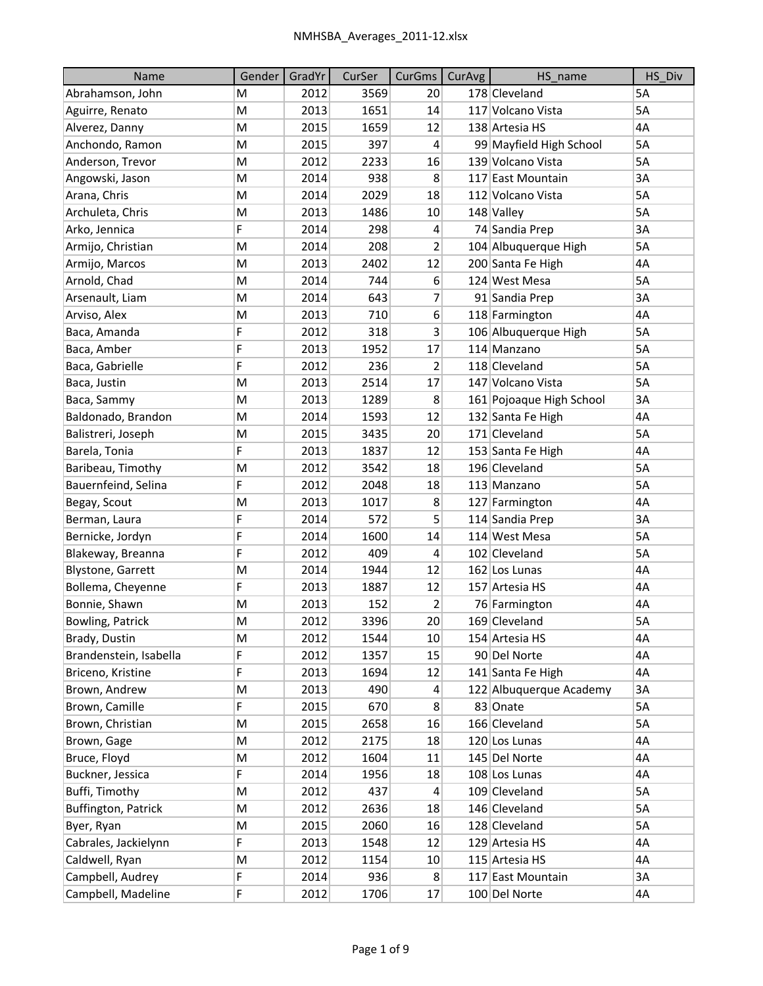| Name                     | Gender | GradYr | CurSer | CurGms          | CurAvg | HS name                  | HS Div |
|--------------------------|--------|--------|--------|-----------------|--------|--------------------------|--------|
| Abrahamson, John         | M      | 2012   | 3569   | 20              |        | 178 Cleveland            | 5A     |
| Aguirre, Renato          | M      | 2013   | 1651   | 14              |        | 117 Volcano Vista        | 5A     |
| Alverez, Danny           | M      | 2015   | 1659   | 12              |        | 138 Artesia HS           | 4A     |
| Anchondo, Ramon          | M      | 2015   | 397    | 4               |        | 99 Mayfield High School  | 5A     |
| Anderson, Trevor         | M      | 2012   | 2233   | 16              |        | 139 Volcano Vista        | 5A     |
| Angowski, Jason          | M      | 2014   | 938    | 8               |        | 117 East Mountain        | 3A     |
| Arana, Chris             | M      | 2014   | 2029   | 18              |        | 112 Volcano Vista        | 5A     |
| Archuleta, Chris         | M      | 2013   | 1486   | 10              |        | 148 Valley               | 5A     |
| Arko, Jennica            | F      | 2014   | 298    | 4               |        | 74 Sandia Prep           | 3A     |
| Armijo, Christian        | M      | 2014   | 208    | 2               |        | 104 Albuquerque High     | 5A     |
| Armijo, Marcos           | M      | 2013   | 2402   | 12              |        | 200 Santa Fe High        | 4A     |
| Arnold, Chad             | M      | 2014   | 744    | 6               |        | 124 West Mesa            | 5A     |
| Arsenault, Liam          | M      | 2014   | 643    | 7               |        | 91 Sandia Prep           | 3A     |
| Arviso, Alex             | M      | 2013   | 710    | 6               |        | 118 Farmington           | 4A     |
| Baca, Amanda             | F      | 2012   | 318    | 3               |        | 106 Albuquerque High     | 5A     |
| Baca, Amber              | F      | 2013   | 1952   | 17              |        | 114 Manzano              | 5A     |
| Baca, Gabrielle          | F      | 2012   | 236    | 2               |        | 118 Cleveland            | 5A     |
| Baca, Justin             | M      | 2013   | 2514   | 17              |        | 147 Volcano Vista        | 5A     |
| Baca, Sammy              | M      | 2013   | 1289   | 8               |        | 161 Pojoaque High School | 3A     |
| Baldonado, Brandon       | M      | 2014   | 1593   | 12              |        | 132 Santa Fe High        | 4A     |
| Balistreri, Joseph       | M      | 2015   | 3435   | 20              |        | 171 Cleveland            | 5A     |
| Barela, Tonia            | F      | 2013   | 1837   | 12              |        | 153 Santa Fe High        | 4A     |
| Baribeau, Timothy        | M      | 2012   | 3542   | 18              |        | 196 Cleveland            | 5A     |
| Bauernfeind, Selina      | F      | 2012   | 2048   | 18              |        | 113 Manzano              | 5A     |
| Begay, Scout             | M      | 2013   | 1017   | 8               |        | 127 Farmington           | 4A     |
| Berman, Laura            | F      | 2014   | 572    | 5               |        | 114 Sandia Prep          | 3A     |
| Bernicke, Jordyn         | F      | 2014   | 1600   | 14              |        | 114 West Mesa            | 5A     |
| Blakeway, Breanna        | F      | 2012   | 409    | 4               |        | 102 Cleveland            | 5A     |
| <b>Blystone, Garrett</b> | M      | 2014   | 1944   | 12              |        | 162 Los Lunas            | 4A     |
| Bollema, Cheyenne        | F      | 2013   | 1887   | 12              |        | 157 Artesia HS           | 4A     |
| Bonnie, Shawn            | M      | 2013   | 152    | $\overline{2}$  |        | 76 Farmington            | 4A     |
| Bowling, Patrick         | M      | 2012   | 3396   | 20              |        | 169 Cleveland            | 5A     |
| Brady, Dustin            | M      | 2012   | 1544   | 10 <sup>1</sup> |        | 154 Artesia HS           | 4A     |
| Brandenstein, Isabella   | F      | 2012   | 1357   | 15              |        | 90 Del Norte             | 4A     |
| Briceno, Kristine        | F      | 2013   | 1694   | 12              |        | 141 Santa Fe High        | 4A     |
| Brown, Andrew            | M      | 2013   | 490    | 4               |        | 122 Albuquerque Academy  | 3A     |
| Brown, Camille           | F      | 2015   | 670    | 8 <sup>1</sup>  |        | 83 Onate                 | 5A     |
| Brown, Christian         | M      | 2015   | 2658   | 16              |        | 166 Cleveland            | 5A     |
| Brown, Gage              | М      | 2012   | 2175   | 18              |        | 120 Los Lunas            | 4А     |
| Bruce, Floyd             | M      | 2012   | 1604   | 11              |        | 145 Del Norte            | 4A     |
| Buckner, Jessica         | F      | 2014   | 1956   | 18              |        | 108 Los Lunas            | 4A     |
| Buffi, Timothy           | M      | 2012   | 437    | 4               |        | 109 Cleveland            | 5A     |
| Buffington, Patrick      | М      | 2012   | 2636   | 18              |        | 146 Cleveland            | 5A     |
| Byer, Ryan               | M      | 2015   | 2060   | 16              |        | 128 Cleveland            | 5A     |
| Cabrales, Jackielynn     | F      | 2013   | 1548   | 12              |        | 129 Artesia HS           | 4A     |
| Caldwell, Ryan           | M      | 2012   | 1154   | 10 <sup>°</sup> |        | 115 Artesia HS           | 4А     |
| Campbell, Audrey         | F      | 2014   | 936    | 8               |        | 117 East Mountain        | 3A     |
| Campbell, Madeline       | F      | 2012   | 1706   | $17\,$          |        | 100 Del Norte            | 4A     |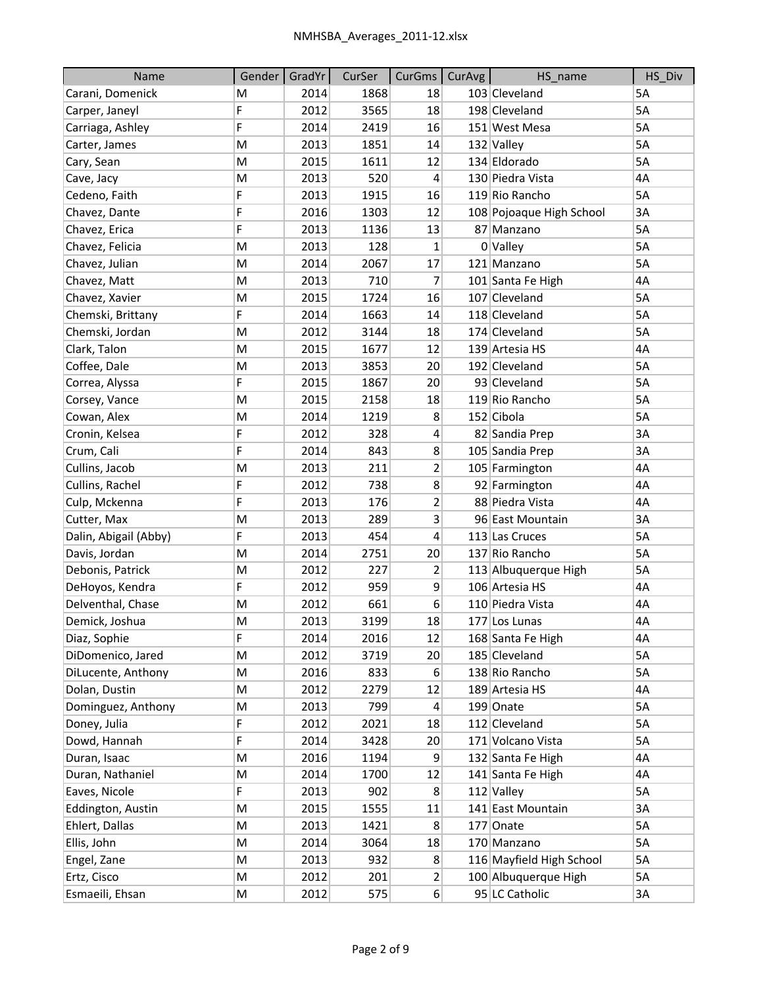| Name                  | Gender | GradYr | CurSer | CurGms                  | <b>CurAvg</b> | HS name                  | HS_Div |
|-----------------------|--------|--------|--------|-------------------------|---------------|--------------------------|--------|
| Carani, Domenick      | M      | 2014   | 1868   | 18                      |               | 103 Cleveland            | 5A     |
| Carper, Janeyl        | F      | 2012   | 3565   | 18                      |               | 198 Cleveland            | 5A     |
| Carriaga, Ashley      | F      | 2014   | 2419   | 16                      |               | 151 West Mesa            | 5A     |
| Carter, James         | M      | 2013   | 1851   | 14                      |               | 132 Valley               | 5A     |
| Cary, Sean            | M      | 2015   | 1611   | 12                      |               | 134 Eldorado             | 5A     |
| Cave, Jacy            | M      | 2013   | 520    | 4                       |               | 130 Piedra Vista         | 4A     |
| Cedeno, Faith         | F      | 2013   | 1915   | 16                      |               | 119 Rio Rancho           | 5A     |
| Chavez, Dante         | F      | 2016   | 1303   | 12                      |               | 108 Pojoaque High School | 3A     |
| Chavez, Erica         | F      | 2013   | 1136   | 13                      |               | 87 Manzano               | 5A     |
| Chavez, Felicia       | M      | 2013   | 128    | 1                       |               | 0 Valley                 | 5A     |
| Chavez, Julian        | M      | 2014   | 2067   | 17                      |               | 121 Manzano              | 5A     |
| Chavez, Matt          | M      | 2013   | 710    | 7                       |               | 101 Santa Fe High        | 4A     |
| Chavez, Xavier        | M      | 2015   | 1724   | 16                      |               | 107 Cleveland            | 5A     |
| Chemski, Brittany     | F      | 2014   | 1663   | 14                      |               | 118 Cleveland            | 5A     |
| Chemski, Jordan       | M      | 2012   | 3144   | 18                      |               | 174 Cleveland            | 5A     |
| Clark, Talon          | M      | 2015   | 1677   | 12                      |               | 139 Artesia HS           | 4A     |
| Coffee, Dale          | M      | 2013   | 3853   | 20                      |               | 192 Cleveland            | 5A     |
| Correa, Alyssa        | F      | 2015   | 1867   | 20                      |               | 93 Cleveland             | 5A     |
| Corsey, Vance         | M      | 2015   | 2158   | 18                      |               | 119 Rio Rancho           | 5A     |
| Cowan, Alex           | M      | 2014   | 1219   | 8                       |               | 152 Cibola               | 5A     |
| Cronin, Kelsea        | F      | 2012   | 328    | 4                       |               | 82 Sandia Prep           | 3A     |
| Crum, Cali            | F      | 2014   | 843    | 8                       |               | 105 Sandia Prep          | 3A     |
| Cullins, Jacob        | M      | 2013   | 211    | $\overline{2}$          |               | 105 Farmington           | 4A     |
| Cullins, Rachel       | F      | 2012   | 738    | 8                       |               | 92 Farmington            | 4A     |
| Culp, Mckenna         | F      | 2013   | 176    | 2                       |               | 88 Piedra Vista          | 4A     |
| Cutter, Max           | M      | 2013   | 289    | $\overline{\mathbf{3}}$ |               | 96 East Mountain         | 3A     |
| Dalin, Abigail (Abby) | F      | 2013   | 454    | $\overline{\mathbf{r}}$ |               | 113 Las Cruces           | 5A     |
| Davis, Jordan         | M      | 2014   | 2751   | 20                      |               | 137 Rio Rancho           | 5A     |
| Debonis, Patrick      | М      | 2012   | 227    | 2                       |               | 113 Albuquerque High     | 5A     |
| DeHoyos, Kendra       | F      | 2012   | 959    | 9                       |               | 106 Artesia HS           | 4A     |
| Delventhal, Chase     | M      | 2012   | 661    | 6                       |               | 110 Piedra Vista         | 4A     |
| Demick, Joshua        | M      | 2013   | 3199   | 18                      |               | 177 Los Lunas            | 4A     |
| Diaz, Sophie          | F      | 2014   | 2016   | 12                      |               | 168 Santa Fe High        | 4A     |
| DiDomenico, Jared     | M      | 2012   | 3719   | 20                      |               | 185 Cleveland            | 5A     |
| DiLucente, Anthony    | M      | 2016   | 833    | 6                       |               | 138 Rio Rancho           | 5A     |
| Dolan, Dustin         | М      | 2012   | 2279   | 12                      |               | 189 Artesia HS           | 4A     |
| Dominguez, Anthony    | M      | 2013   | 799    | 4                       |               | 199 Onate                | 5A     |
| Doney, Julia          | F      | 2012   | 2021   | 18                      |               | 112 Cleveland            | 5A     |
| Dowd, Hannah          | F      | 2014   | 3428   | 20                      |               | 171 Volcano Vista        | 5A     |
| Duran, Isaac          | M      | 2016   | 1194   | 9                       |               | 132 Santa Fe High        | 4A     |
| Duran, Nathaniel      | M      | 2014   | 1700   | 12                      |               | 141 Santa Fe High        | 4A     |
| Eaves, Nicole         | F      | 2013   | 902    | 8 <sup>2</sup>          |               | 112 Valley               | 5A     |
| Eddington, Austin     | M      | 2015   | 1555   | 11                      |               | 141 East Mountain        | 3A     |
| Ehlert, Dallas        | M      | 2013   | 1421   | 8                       |               | 177 Onate                | 5A     |
| Ellis, John           | M      | 2014   | 3064   | 18                      |               | 170 Manzano              | 5A     |
| Engel, Zane           | М      | 2013   | 932    | 8 <sup>2</sup>          |               | 116 Mayfield High School | 5A     |
| Ertz, Cisco           | М      | 2012   | 201    | $\overline{2}$          |               | 100 Albuquerque High     | 5A     |
| Esmaeili, Ehsan       | M      | 2012   | 575    | $6\vert$                |               | 95 LC Catholic           | 3A     |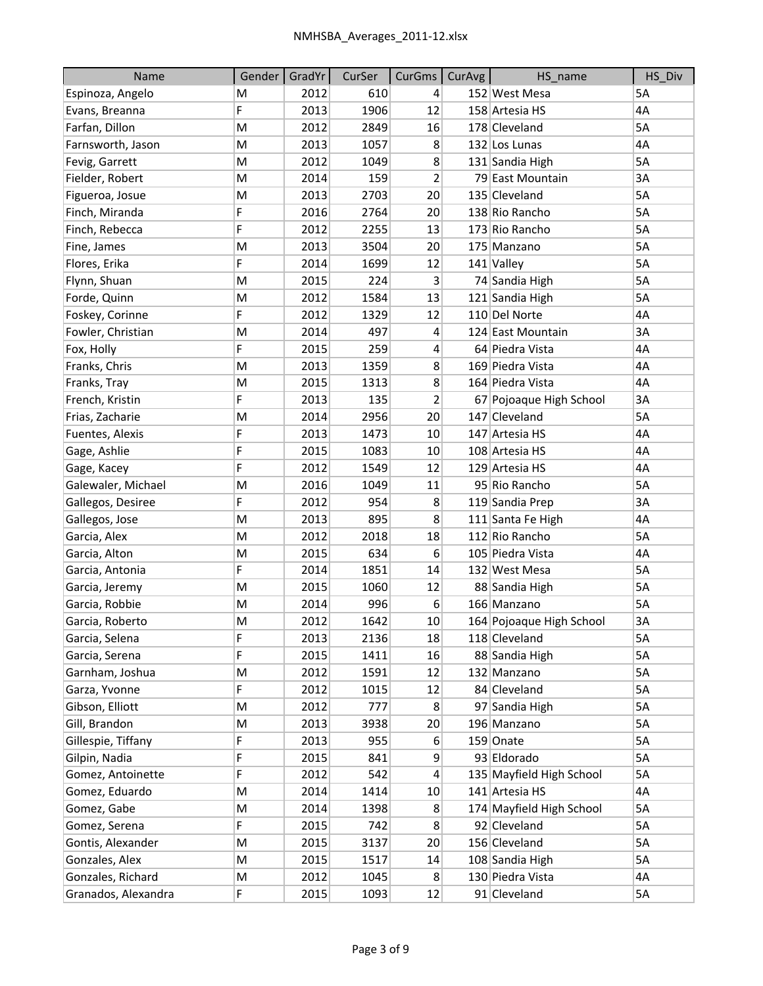| Name                | Gender | GradYr | CurSer | CurGms           | CurAvg | HS_name                  | HS_Div |
|---------------------|--------|--------|--------|------------------|--------|--------------------------|--------|
| Espinoza, Angelo    | M      | 2012   | 610    | 4                |        | 152 West Mesa            | 5A     |
| Evans, Breanna      | F      | 2013   | 1906   | 12               |        | 158 Artesia HS           | 4A     |
| Farfan, Dillon      | M      | 2012   | 2849   | 16               |        | 178 Cleveland            | 5A     |
| Farnsworth, Jason   | M      | 2013   | 1057   | 8                |        | 132 Los Lunas            | 4A     |
| Fevig, Garrett      | M      | 2012   | 1049   | 8                |        | 131 Sandia High          | 5A     |
| Fielder, Robert     | M      | 2014   | 159    | $\overline{2}$   |        | 79 East Mountain         | 3A     |
| Figueroa, Josue     | M      | 2013   | 2703   | 20               |        | 135 Cleveland            | 5A     |
| Finch, Miranda      | F      | 2016   | 2764   | 20               |        | 138 Rio Rancho           | 5A     |
| Finch, Rebecca      | F      | 2012   | 2255   | 13               |        | 173 Rio Rancho           | 5A     |
| Fine, James         | M      | 2013   | 3504   | 20               |        | 175 Manzano              | 5A     |
| Flores, Erika       | F      | 2014   | 1699   | 12               |        | 141 Valley               | 5A     |
| Flynn, Shuan        | M      | 2015   | 224    | 3                |        | 74 Sandia High           | 5A     |
| Forde, Quinn        | M      | 2012   | 1584   | 13               |        | 121 Sandia High          | 5A     |
| Foskey, Corinne     | F      | 2012   | 1329   | 12               |        | 110 Del Norte            | 4A     |
| Fowler, Christian   | M      | 2014   | 497    | 4                |        | 124 East Mountain        | 3A     |
| Fox, Holly          | F      | 2015   | 259    | 4                |        | 64 Piedra Vista          | 4A     |
| Franks, Chris       | M      | 2013   | 1359   | 8                |        | 169 Piedra Vista         | 4A     |
| Franks, Tray        | M      | 2015   | 1313   | 8                |        | 164 Piedra Vista         | 4A     |
| French, Kristin     | F      | 2013   | 135    | 2                |        | 67 Pojoaque High School  | 3A     |
| Frias, Zacharie     | M      | 2014   | 2956   | 20               |        | 147 Cleveland            | 5A     |
| Fuentes, Alexis     | F      | 2013   | 1473   | 10               |        | 147 Artesia HS           | 4A     |
| Gage, Ashlie        | F      | 2015   | 1083   | 10               |        | 108 Artesia HS           | 4A     |
| Gage, Kacey         | F      | 2012   | 1549   | 12               |        | 129 Artesia HS           | 4A     |
| Galewaler, Michael  | M      | 2016   | 1049   | 11               |        | 95 Rio Rancho            | 5A     |
| Gallegos, Desiree   | F      | 2012   | 954    | 8                |        | 119 Sandia Prep          | 3A     |
| Gallegos, Jose      | M      | 2013   | 895    | 8                |        | 111 Santa Fe High        | 4A     |
| Garcia, Alex        | M      | 2012   | 2018   | 18               |        | 112 Rio Rancho           | 5A     |
| Garcia, Alton       | M      | 2015   | 634    | $6 \overline{6}$ |        | 105 Piedra Vista         | 4A     |
| Garcia, Antonia     | F      | 2014   | 1851   | 14               |        | 132 West Mesa            | 5A     |
| Garcia, Jeremy      | M      | 2015   | 1060   | 12               |        | 88 Sandia High           | 5A     |
| Garcia, Robbie      | M      | 2014   | 996    | 6                |        | 166 Manzano              | 5A     |
| Garcia, Roberto     | M      | 2012   | 1642   | 10               |        | 164 Pojoaque High School | 3A     |
| Garcia, Selena      | F      | 2013   | 2136   | 18               |        | 118 Cleveland            | 5A     |
| Garcia, Serena      | F      | 2015   | 1411   | 16               |        | 88 Sandia High           | 5A     |
| Garnham, Joshua     | M      | 2012   | 1591   | 12               |        | 132 Manzano              | 5A     |
| Garza, Yvonne       | F      | 2012   | 1015   | 12               |        | 84 Cleveland             | 5A     |
| Gibson, Elliott     | M      | 2012   | 777    | 8                |        | 97 Sandia High           | 5A     |
| Gill, Brandon       | M      | 2013   | 3938   | 20               |        | 196 Manzano              | 5A     |
| Gillespie, Tiffany  | F      | 2013   | 955    | 6                |        | 159 Onate                | 5A     |
| Gilpin, Nadia       | F      | 2015   | 841    | 9                |        | 93 Eldorado              | 5A     |
| Gomez, Antoinette   | F      | 2012   | 542    | 4                |        | 135 Mayfield High School | 5A     |
| Gomez, Eduardo      | M      | 2014   | 1414   | 10               |        | 141 Artesia HS           | 4А     |
| Gomez, Gabe         | M      | 2014   | 1398   | 8                |        | 174 Mayfield High School | 5A     |
| Gomez, Serena       | F      | 2015   | 742    | 8 <sup>2</sup>   |        | 92 Cleveland             | 5A     |
| Gontis, Alexander   | M      | 2015   | 3137   | 20               |        | 156 Cleveland            | 5A     |
| Gonzales, Alex      | М      | 2015   | 1517   | 14               |        | 108 Sandia High          | 5A     |
| Gonzales, Richard   | M      | 2012   | 1045   | 8 <sup>2</sup>   |        | 130 Piedra Vista         | 4А     |
| Granados, Alexandra | F      | 2015   | 1093   | 12               |        | 91 Cleveland             | 5A     |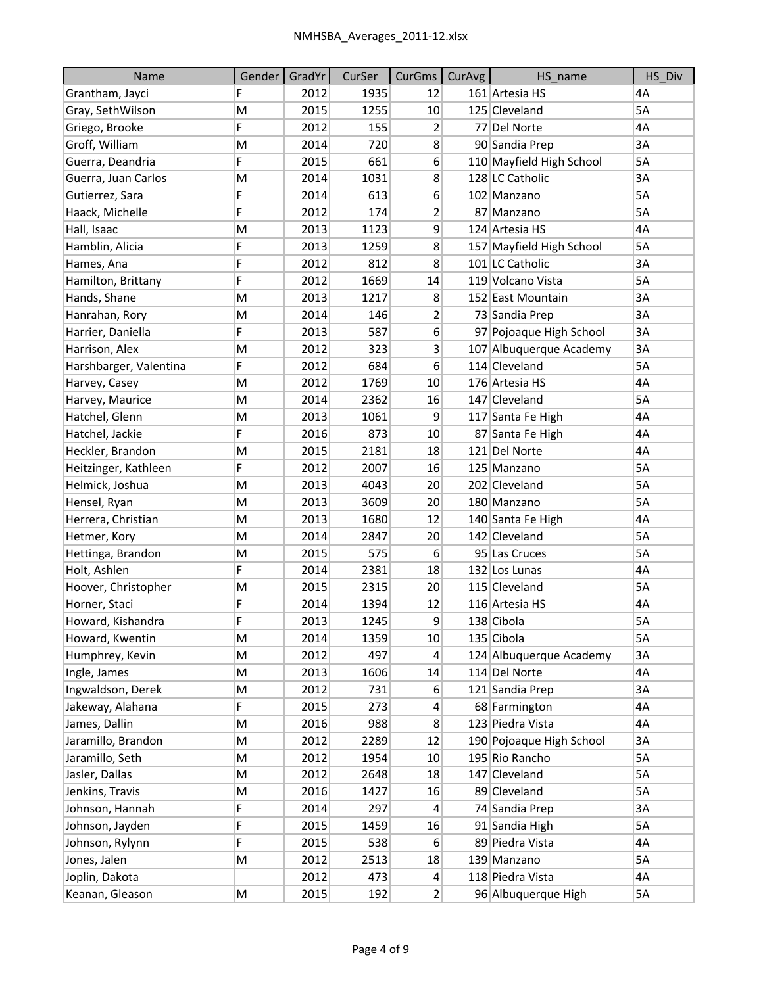| <b>Name</b>            | Gender | GradYr | CurSer | CurGms           | <b>CurAvg</b> | HS_name                  | HS_Div |
|------------------------|--------|--------|--------|------------------|---------------|--------------------------|--------|
| Grantham, Jayci        | F      | 2012   | 1935   | 12               |               | 161 Artesia HS           | 4A     |
| Gray, SethWilson       | M      | 2015   | 1255   | 10               |               | 125 Cleveland            | 5A     |
| Griego, Brooke         | F      | 2012   | 155    | 2                |               | 77 Del Norte             | 4A     |
| Groff, William         | M      | 2014   | 720    | 8                |               | 90 Sandia Prep           | 3A     |
| Guerra, Deandria       | F      | 2015   | 661    | $6 \overline{6}$ |               | 110 Mayfield High School | 5A     |
| Guerra, Juan Carlos    | M      | 2014   | 1031   | 8                |               | 128 LC Catholic          | 3A     |
| Gutierrez, Sara        | F      | 2014   | 613    | 6                |               | 102 Manzano              | 5A     |
| Haack, Michelle        | F      | 2012   | 174    | 2                |               | 87 Manzano               | 5A     |
| Hall, Isaac            | M      | 2013   | 1123   | 9                |               | 124 Artesia HS           | 4A     |
| Hamblin, Alicia        | F      | 2013   | 1259   | 8                |               | 157 Mayfield High School | 5A     |
| Hames, Ana             | F      | 2012   | 812    | 8                |               | 101 LC Catholic          | 3A     |
| Hamilton, Brittany     | F      | 2012   | 1669   | 14               |               | 119 Volcano Vista        | 5A     |
| Hands, Shane           | M      | 2013   | 1217   | 8                |               | 152 East Mountain        | 3A     |
| Hanrahan, Rory         | M      | 2014   | 146    | 2                |               | 73 Sandia Prep           | 3A     |
| Harrier, Daniella      | F      | 2013   | 587    | 6                |               | 97 Pojoaque High School  | 3A     |
| Harrison, Alex         | M      | 2012   | 323    | 3                |               | 107 Albuquerque Academy  | 3A     |
| Harshbarger, Valentina | F      | 2012   | 684    | 6                |               | 114 Cleveland            | 5A     |
| Harvey, Casey          | M      | 2012   | 1769   | 10               |               | 176 Artesia HS           | 4A     |
| Harvey, Maurice        | M      | 2014   | 2362   | 16               |               | 147 Cleveland            | 5A     |
| Hatchel, Glenn         | M      | 2013   | 1061   | 9                |               | 117 Santa Fe High        | 4A     |
| Hatchel, Jackie        | F      | 2016   | 873    | 10               |               | 87 Santa Fe High         | 4A     |
| Heckler, Brandon       | M      | 2015   | 2181   | 18               |               | 121 Del Norte            | 4A     |
| Heitzinger, Kathleen   | F      | 2012   | 2007   | 16               |               | 125 Manzano              | 5A     |
| Helmick, Joshua        | M      | 2013   | 4043   | 20               |               | 202 Cleveland            | 5A     |
| Hensel, Ryan           | M      | 2013   | 3609   | 20               |               | 180 Manzano              | 5A     |
| Herrera, Christian     | M      | 2013   | 1680   | 12               |               | 140 Santa Fe High        | 4A     |
| Hetmer, Kory           | M      | 2014   | 2847   | 20               |               | 142 Cleveland            | 5A     |
| Hettinga, Brandon      | М      | 2015   | 575    | 6                |               | 95 Las Cruces            | 5A     |
| Holt, Ashlen           | F      | 2014   | 2381   | 18               |               | 132 Los Lunas            | 4A     |
| Hoover, Christopher    | M      | 2015   | 2315   | 20               |               | 115 Cleveland            | 5A     |
| Horner, Staci          | F      | 2014   | 1394   | 12               |               | 116 Artesia HS           | 4A     |
| Howard, Kishandra      | F      | 2013   | 1245   | q                |               | 138 Cibola               | 5A     |
| Howard, Kwentin        | М      | 2014   | 1359   | 10 <sup>°</sup>  |               | 135 Cibola               | 5A     |
| Humphrey, Kevin        | M      | 2012   | 497    | 4                |               | 124 Albuquerque Academy  | 3A     |
| Ingle, James           | М      | 2013   | 1606   | 14               |               | 114 Del Norte            | 4А     |
| Ingwaldson, Derek      | М      | 2012   | 731    | 6                |               | 121 Sandia Prep          | 3A     |
| Jakeway, Alahana       | F      | 2015   | 273    | 4                |               | 68 Farmington            | 4А     |
| James, Dallin          | M      | 2016   | 988    | 8 <sup>2</sup>   |               | 123 Piedra Vista         | 4А     |
| Jaramillo, Brandon     | M      | 2012   | 2289   | 12               |               | 190 Pojoaque High School | 3A     |
| Jaramillo, Seth        | М      | 2012   | 1954   | 10               |               | 195 Rio Rancho           | 5A     |
| Jasler, Dallas         | M      | 2012   | 2648   | 18               |               | 147 Cleveland            | 5A     |
| Jenkins, Travis        | Μ      | 2016   | 1427   | 16               |               | 89 Cleveland             | 5A     |
| Johnson, Hannah        | F      | 2014   | 297    | 4                |               | 74 Sandia Prep           | 3A     |
| Johnson, Jayden        | F      | 2015   | 1459   | 16               |               | 91 Sandia High           | 5А     |
| Johnson, Rylynn        | F      | 2015   | 538    | 6                |               | 89 Piedra Vista          | 4А     |
| Jones, Jalen           | M      | 2012   | 2513   | 18               |               | 139 Manzano              | 5А     |
| Joplin, Dakota         |        | 2012   | 473    | 4                |               | 118 Piedra Vista         | 4А     |
| Keanan, Gleason        | M      | 2015   | 192    | $\mathbf{2}$     |               | 96 Albuquerque High      | 5A     |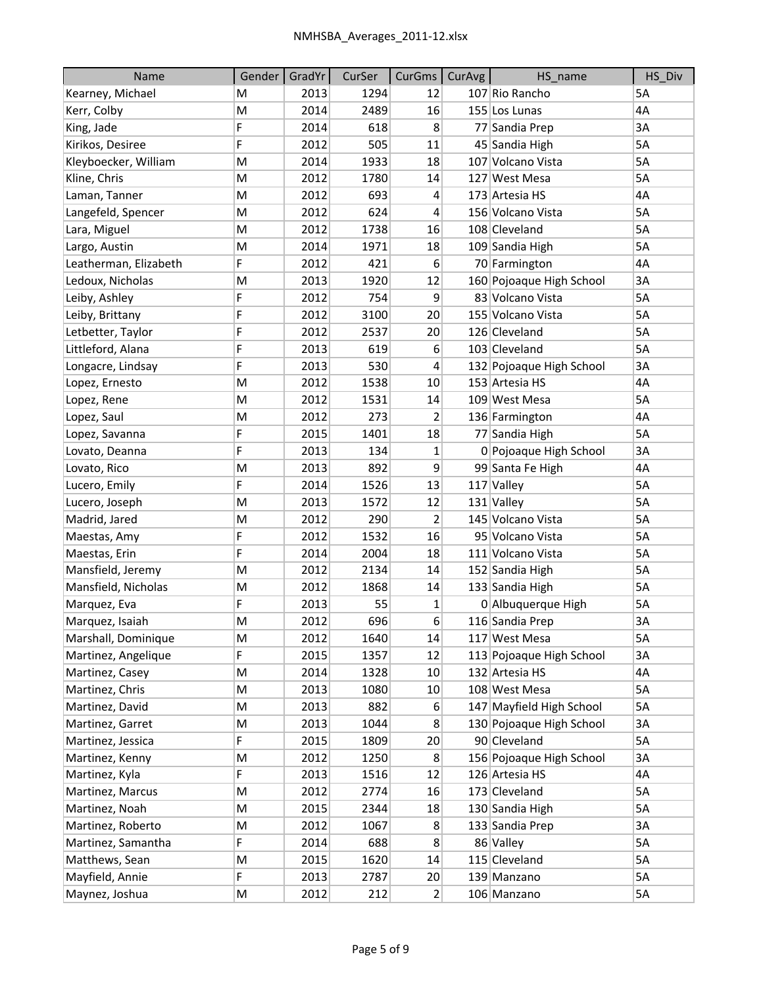| Name                  | Gender | GradYr | CurSer | CurGms           | <b>CurAvg</b> | HS name                  | HS Div |
|-----------------------|--------|--------|--------|------------------|---------------|--------------------------|--------|
| Kearney, Michael      | M      | 2013   | 1294   | 12               |               | 107 Rio Rancho           | 5A     |
| Kerr, Colby           | M      | 2014   | 2489   | 16               |               | 155 Los Lunas            | 4A     |
| King, Jade            | F      | 2014   | 618    | 8                |               | 77 Sandia Prep           | 3A     |
| Kirikos, Desiree      | F      | 2012   | 505    | 11               |               | 45 Sandia High           | 5A     |
| Kleyboecker, William  | M      | 2014   | 1933   | 18               |               | 107 Volcano Vista        | 5A     |
| Kline, Chris          | M      | 2012   | 1780   | 14               |               | 127 West Mesa            | 5A     |
| Laman, Tanner         | M      | 2012   | 693    | 4                |               | 173 Artesia HS           | 4A     |
| Langefeld, Spencer    | M      | 2012   | 624    | 4                |               | 156 Volcano Vista        | 5A     |
| Lara, Miguel          | M      | 2012   | 1738   | 16               |               | 108 Cleveland            | 5A     |
| Largo, Austin         | M      | 2014   | 1971   | 18               |               | 109 Sandia High          | 5A     |
| Leatherman, Elizabeth | F      | 2012   | 421    | 6                |               | 70 Farmington            | 4A     |
| Ledoux, Nicholas      | M      | 2013   | 1920   | 12               |               | 160 Pojoaque High School | 3A     |
| Leiby, Ashley         | F      | 2012   | 754    | 9                |               | 83 Volcano Vista         | 5A     |
| Leiby, Brittany       | F      | 2012   | 3100   | 20 <sup>2</sup>  |               | 155 Volcano Vista        | 5A     |
| Letbetter, Taylor     | F      | 2012   | 2537   | 20               |               | 126 Cleveland            | 5A     |
| Littleford, Alana     | F      | 2013   | 619    | 6                |               | 103 Cleveland            | 5A     |
| Longacre, Lindsay     | F      | 2013   | 530    | 4                |               | 132 Pojoaque High School | 3A     |
| Lopez, Ernesto        | M      | 2012   | 1538   | 10               |               | 153 Artesia HS           | 4A     |
| Lopez, Rene           | M      | 2012   | 1531   | 14               |               | 109 West Mesa            | 5A     |
| Lopez, Saul           | M      | 2012   | 273    | 2                |               | 136 Farmington           | 4A     |
| Lopez, Savanna        | F      | 2015   | 1401   | 18               |               | 77 Sandia High           | 5A     |
| Lovato, Deanna        | F      | 2013   | 134    | 1                |               | 0 Pojoaque High School   | 3A     |
| Lovato, Rico          | M      | 2013   | 892    | 9                |               | 99 Santa Fe High         | 4A     |
| Lucero, Emily         | F      | 2014   | 1526   | 13               |               | 117 Valley               | 5A     |
| Lucero, Joseph        | M      | 2013   | 1572   | 12               |               | 131 Valley               | 5A     |
| Madrid, Jared         | M      | 2012   | 290    | 2                |               | 145 Volcano Vista        | 5A     |
| Maestas, Amy          | F      | 2012   | 1532   | 16               |               | 95 Volcano Vista         | 5A     |
| Maestas, Erin         | F      | 2014   | 2004   | 18               |               | 111 Volcano Vista        | 5A     |
| Mansfield, Jeremy     | M      | 2012   | 2134   | 14               |               | 152 Sandia High          | 5A     |
| Mansfield, Nicholas   | M      | 2012   | 1868   | 14               |               | 133 Sandia High          | 5A     |
| Marquez, Eva          | F      | 2013   | 55     | 1                |               | 0 Albuquerque High       | 5A     |
| Marquez, Isaiah       | M      | 2012   | 696    | $\boldsymbol{6}$ |               | 116 Sandia Prep          | 3A     |
| Marshall, Dominique   | M      | 2012   | 1640   | 14               |               | 117 West Mesa            | 5A     |
| Martinez, Angelique   | F      | 2015   | 1357   | 12               |               | 113 Pojoaque High School | 3A     |
| Martinez, Casey       | М      | 2014   | 1328   | 10               |               | 132 Artesia HS           | 4А     |
| Martinez, Chris       | М      | 2013   | 1080   | 10               |               | 108 West Mesa            | 5A     |
| Martinez, David       | M      | 2013   | 882    | 6                |               | 147 Mayfield High School | 5A     |
| Martinez, Garret      | M      | 2013   | 1044   | 8                |               | 130 Pojoaque High School | 3A     |
| Martinez, Jessica     | F.     | 2015   | 1809   | 20               |               | 90 Cleveland             | 5A     |
| Martinez, Kenny       | M      | 2012   | 1250   | 8 <sup>2</sup>   |               | 156 Pojoaque High School | 3A     |
| Martinez, Kyla        | F      | 2013   | 1516   | 12               |               | 126 Artesia HS           | 4A     |
| Martinez, Marcus      | М      | 2012   | 2774   | 16               |               | 173 Cleveland            | 5A     |
| Martinez, Noah        | М      | 2015   | 2344   | 18               |               | 130 Sandia High          | 5A     |
| Martinez, Roberto     | M      | 2012   | 1067   | 8                |               | 133 Sandia Prep          | 3A     |
| Martinez, Samantha    | F      | 2014   | 688    | 8                |               | 86 Valley                | 5А     |
| Matthews, Sean        | M      | 2015   | 1620   | 14               |               | 115 Cleveland            | 5A     |
| Mayfield, Annie       | F      | 2013   | 2787   | 20               |               | 139 Manzano              | 5A     |
| Maynez, Joshua        | M      | 2012   | 212    | $\mathbf{2}$     |               | 106 Manzano              | 5A     |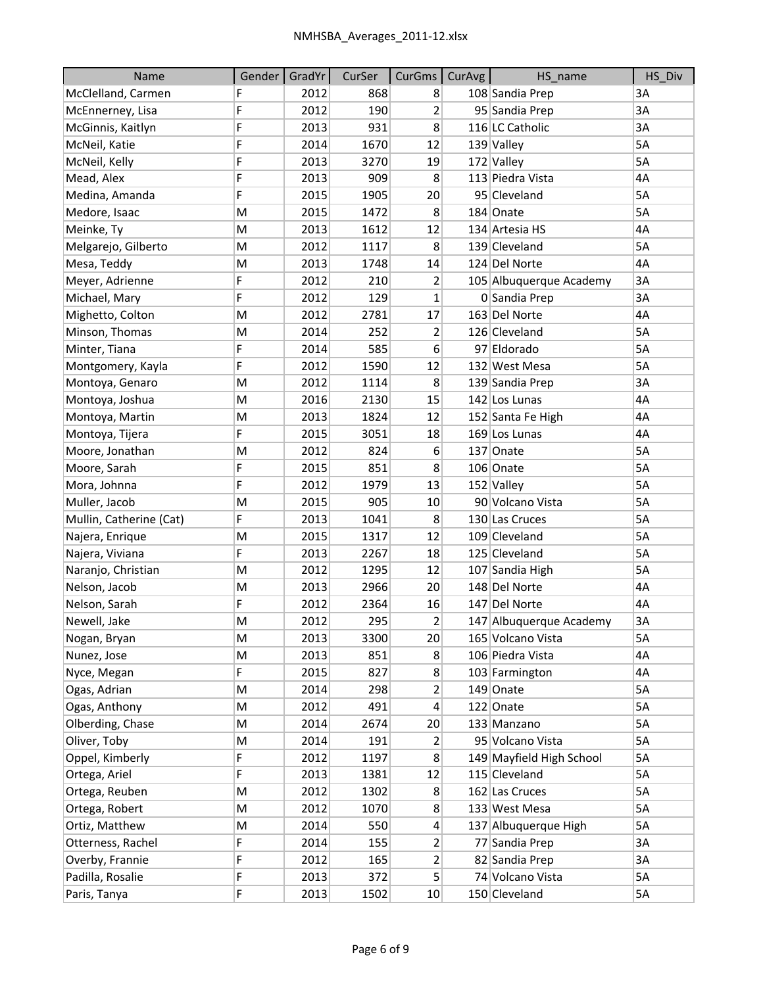| Name                    | Gender | GradYr | CurSer | CurGms   CurAvg | HS_name                  | HS Div |
|-------------------------|--------|--------|--------|-----------------|--------------------------|--------|
| McClelland, Carmen      | F      | 2012   | 868    | 8               | 108 Sandia Prep          | 3A     |
| McEnnerney, Lisa        | F      | 2012   | 190    | $\overline{2}$  | 95 Sandia Prep           | 3A     |
| McGinnis, Kaitlyn       | F      | 2013   | 931    | 8               | 116 LC Catholic          | 3A     |
| McNeil, Katie           | F      | 2014   | 1670   | 12              | 139 Valley               | 5A     |
| McNeil, Kelly           | F      | 2013   | 3270   | 19              | 172 Valley               | 5A     |
| Mead, Alex              | F      | 2013   | 909    | 8               | 113 Piedra Vista         | 4A     |
| Medina, Amanda          | F      | 2015   | 1905   | 20              | 95 Cleveland             | 5A     |
| Medore, Isaac           | M      | 2015   | 1472   | 8               | 184 Onate                | 5A     |
| Meinke, Ty              | M      | 2013   | 1612   | 12              | 134 Artesia HS           | 4A     |
| Melgarejo, Gilberto     | M      | 2012   | 1117   | 8               | 139 Cleveland            | 5A     |
| Mesa, Teddy             | M      | 2013   | 1748   | 14              | 124 Del Norte            | 4A     |
| Meyer, Adrienne         | F      | 2012   | 210    | 2               | 105 Albuquerque Academy  | 3A     |
| Michael, Mary           | F      | 2012   | 129    | $\mathbf 1$     | 0 Sandia Prep            | 3A     |
| Mighetto, Colton        | M      | 2012   | 2781   | 17              | 163 Del Norte            | 4A     |
| Minson, Thomas          | M      | 2014   | 252    | 2               | 126 Cleveland            | 5A     |
| Minter, Tiana           | F      | 2014   | 585    | 6               | 97 Eldorado              | 5A     |
| Montgomery, Kayla       | F      | 2012   | 1590   | 12              | 132 West Mesa            | 5A     |
| Montoya, Genaro         | M      | 2012   | 1114   | 8               | 139 Sandia Prep          | 3A     |
| Montoya, Joshua         | M      | 2016   | 2130   | 15              | 142 Los Lunas            | 4A     |
| Montoya, Martin         | M      | 2013   | 1824   | 12              | 152 Santa Fe High        | 4A     |
| Montoya, Tijera         | F      | 2015   | 3051   | 18              | 169 Los Lunas            | 4A     |
| Moore, Jonathan         | M      | 2012   | 824    | 6               | 137 Onate                | 5A     |
| Moore, Sarah            | F      | 2015   | 851    | 8               | 106 Onate                | 5A     |
| Mora, Johnna            | F      | 2012   | 1979   | 13              | 152 Valley               | 5A     |
| Muller, Jacob           | M      | 2015   | 905    | 10              | 90 Volcano Vista         | 5A     |
| Mullin, Catherine (Cat) | F      | 2013   | 1041   | 8               | 130 Las Cruces           | 5A     |
| Najera, Enrique         | M      | 2015   | 1317   | 12              | 109 Cleveland            | 5A     |
| Najera, Viviana         | F      | 2013   | 2267   | 18              | 125 Cleveland            | 5A     |
| Naranjo, Christian      | M      | 2012   | 1295   | 12              | 107 Sandia High          | 5A     |
| Nelson, Jacob           | M      | 2013   | 2966   | 20              | 148 Del Norte            | 4A     |
| Nelson, Sarah           | F      | 2012   | 2364   | 16              | 147 Del Norte            | 4A     |
| Newell, Jake            | M      | 2012   | 295    | $\overline{2}$  | 147 Albuquerque Academy  | 3A     |
| Nogan, Bryan            | М      | 2013   | 3300   | 20              | 165 Volcano Vista        | 5A     |
| Nunez, Jose             | M      | 2013   | 851    | 8               | 106 Piedra Vista         | 4A     |
| Nyce, Megan             | F      | 2015   | 827    | 8               | 103 Farmington           | 4A     |
| Ogas, Adrian            | М      | 2014   | 298    | $\overline{2}$  | 149 Onate                | 5A     |
| Ogas, Anthony           | M      | 2012   | 491    | $\vert 4 \vert$ | 122 Onate                | 5A     |
| Olberding, Chase        | M      | 2014   | 2674   | 20              | 133 Manzano              | 5A     |
| Oliver, Toby            | Μ      | 2014   | 191    | $\overline{2}$  | 95 Volcano Vista         | 5А     |
| Oppel, Kimberly         | F      | 2012   | 1197   | 8               | 149 Mayfield High School | 5A     |
| Ortega, Ariel           | F      | 2013   | 1381   | 12              | 115 Cleveland            | 5A     |
| Ortega, Reuben          | M      | 2012   | 1302   | 8               | 162 Las Cruces           | 5A     |
| Ortega, Robert          | М      | 2012   | 1070   | 8 <sup>°</sup>  | 133 West Mesa            | 5А     |
| Ortiz, Matthew          | M      | 2014   | 550    | $\vert 4 \vert$ | 137 Albuquerque High     | 5A     |
| Otterness, Rachel       | F      | 2014   | 155    | $\mathbf{2}$    | 77 Sandia Prep           | 3A     |
| Overby, Frannie         | F      | 2012   | 165    | $\overline{2}$  | 82 Sandia Prep           | 3A     |
| Padilla, Rosalie        | F      | 2013   | 372    | 5 <sup>1</sup>  | 74 Volcano Vista         | 5A     |
| Paris, Tanya            | F      | 2013   | 1502   | 10              | 150 Cleveland            | 5A     |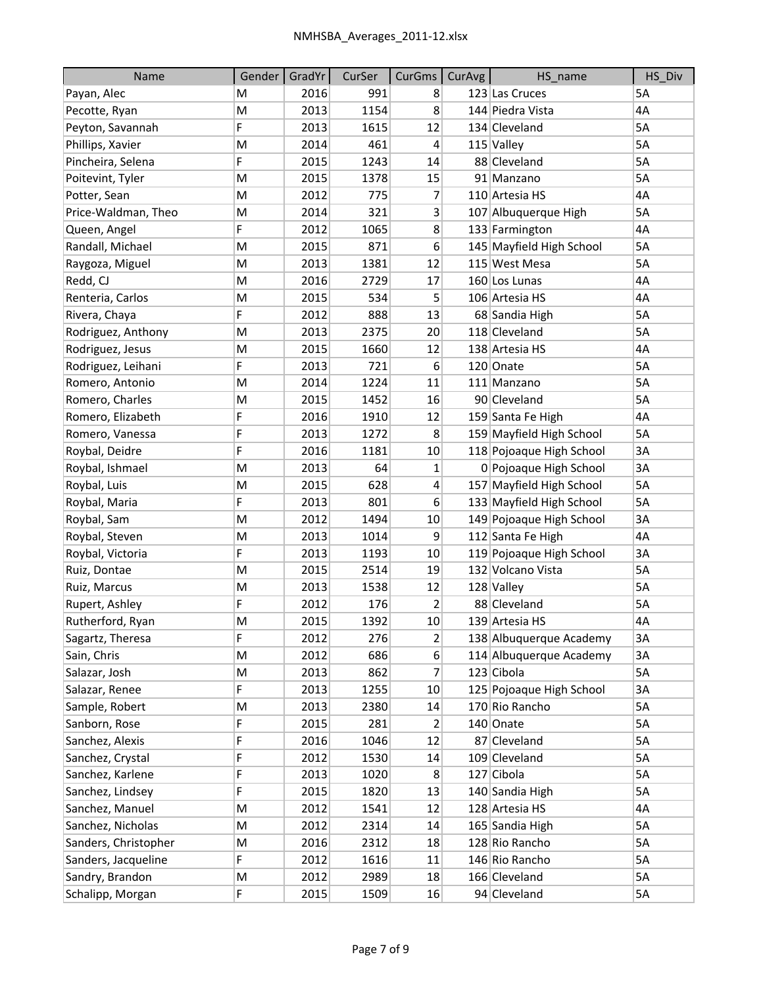| Name                 | Gender | GradYr | CurSer | CurGms          | <b>CurAvg</b> | HS_name                  | HS Div    |
|----------------------|--------|--------|--------|-----------------|---------------|--------------------------|-----------|
| Payan, Alec          | M      | 2016   | 991    | 8               |               | 123 Las Cruces           | <b>5A</b> |
| Pecotte, Ryan        | M      | 2013   | 1154   | 8               |               | 144 Piedra Vista         | 4A        |
| Peyton, Savannah     | F      | 2013   | 1615   | 12              |               | 134 Cleveland            | 5A        |
| Phillips, Xavier     | M      | 2014   | 461    | 4               |               | $115$ Valley             | 5A        |
| Pincheira, Selena    | F      | 2015   | 1243   | 14              |               | 88 Cleveland             | 5A        |
| Poitevint, Tyler     | M      | 2015   | 1378   | 15              |               | 91 Manzano               | 5A        |
| Potter, Sean         | M      | 2012   | 775    | 7               |               | 110 Artesia HS           | 4A        |
| Price-Waldman, Theo  | M      | 2014   | 321    | 3               |               | 107 Albuquerque High     | 5A        |
| Queen, Angel         | F      | 2012   | 1065   | 8               |               | 133 Farmington           | 4A        |
| Randall, Michael     | M      | 2015   | 871    | 6               |               | 145 Mayfield High School | 5A        |
| Raygoza, Miguel      | M      | 2013   | 1381   | 12              |               | 115 West Mesa            | 5A        |
| Redd, CJ             | M      | 2016   | 2729   | 17              |               | 160 Los Lunas            | 4A        |
| Renteria, Carlos     | M      | 2015   | 534    | 5               |               | 106 Artesia HS           | 4A        |
| Rivera, Chaya        | F      | 2012   | 888    | 13              |               | 68 Sandia High           | 5A        |
| Rodriguez, Anthony   | M      | 2013   | 2375   | 20              |               | 118 Cleveland            | 5A        |
| Rodriguez, Jesus     | M      | 2015   | 1660   | 12              |               | 138 Artesia HS           | 4A        |
| Rodriguez, Leihani   | F      | 2013   | 721    | 6               |               | 120 Onate                | 5A        |
| Romero, Antonio      | M      | 2014   | 1224   | 11              |               | 111 Manzano              | 5A        |
| Romero, Charles      | M      | 2015   | 1452   | 16              |               | 90 Cleveland             | 5A        |
| Romero, Elizabeth    | F      | 2016   | 1910   | 12              |               | 159 Santa Fe High        | 4A        |
| Romero, Vanessa      | F      | 2013   | 1272   | 8               |               | 159 Mayfield High School | 5A        |
| Roybal, Deidre       | F      | 2016   | 1181   | 10              |               | 118 Pojoaque High School | 3A        |
| Roybal, Ishmael      | M      | 2013   | 64     | 1               |               | 0 Pojoaque High School   | 3A        |
| Roybal, Luis         | M      | 2015   | 628    | 4               |               | 157 Mayfield High School | 5A        |
| Roybal, Maria        | F      | 2013   | 801    | 6               |               | 133 Mayfield High School | 5A        |
| Roybal, Sam          | M      | 2012   | 1494   | 10              |               | 149 Pojoaque High School | 3A        |
| Roybal, Steven       | M      | 2013   | 1014   | 9               |               | 112 Santa Fe High        | 4A        |
| Roybal, Victoria     | F      | 2013   | 1193   | 10              |               | 119 Pojoaque High School | 3A        |
| Ruiz, Dontae         | M      | 2015   | 2514   | 19              |               | 132 Volcano Vista        | 5A        |
| Ruiz, Marcus         | M      | 2013   | 1538   | 12              |               | 128 Valley               | 5A        |
| Rupert, Ashley       | F      | 2012   | 176    | 2               |               | 88 Cleveland             | 5A        |
| Rutherford, Ryan     | M      | 2015   | 1392   | 10 <sup>1</sup> |               | 139 Artesia HS           | 4A        |
| Sagartz, Theresa     | F      | 2012   | 276    | $\overline{2}$  |               | 138 Albuquerque Academy  | 3A        |
| Sain, Chris          | M      | 2012   | 686    | $6\vert$        |               | 114 Albuquerque Academy  | 3A        |
| Salazar, Josh        | M      | 2013   | 862    | 7               |               | 123 Cibola               | 5A        |
| Salazar, Renee       | F      | 2013   | 1255   | 10 <sup>°</sup> |               | 125 Pojoaque High School | 3A        |
| Sample, Robert       | M      | 2013   | 2380   | 14              |               | 170 Rio Rancho           | 5A        |
| Sanborn, Rose        | F      | 2015   | 281    | 2               |               | 140 Onate                | 5A        |
| Sanchez, Alexis      | F      | 2016   | 1046   | 12              |               | 87 Cleveland             | 5A        |
| Sanchez, Crystal     | F      | 2012   | 1530   | 14              |               | 109 Cleveland            | 5A        |
| Sanchez, Karlene     | F      | 2013   | 1020   | 8               |               | 127 Cibola               | 5A        |
| Sanchez, Lindsey     | F      | 2015   | 1820   | 13              |               | 140 Sandia High          | 5A        |
| Sanchez, Manuel      | M      | 2012   | 1541   | 12              |               | 128 Artesia HS           | 4А        |
| Sanchez, Nicholas    | M      | 2012   | 2314   | 14              |               | 165 Sandia High          | 5A        |
| Sanders, Christopher | M      | 2016   | 2312   | 18              |               | 128 Rio Rancho           | 5A        |
| Sanders, Jacqueline  | F      | 2012   | 1616   | 11              |               | 146 Rio Rancho           | 5A        |
| Sandry, Brandon      | M      | 2012   | 2989   | 18              |               | 166 Cleveland            | 5A        |
| Schalipp, Morgan     | F      | 2015   | 1509   | 16              |               | 94 Cleveland             | 5A        |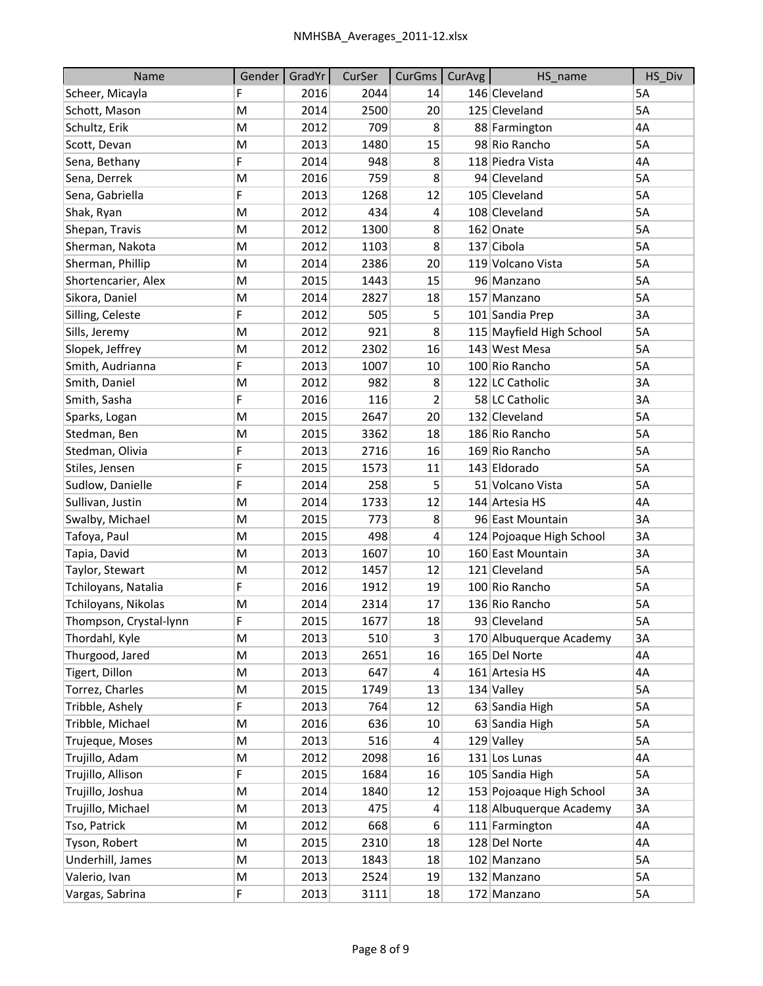| Name                   | Gender | GradYr | CurSer | CurGms           | CurAvg | HS_name                  | HS_Div |
|------------------------|--------|--------|--------|------------------|--------|--------------------------|--------|
| Scheer, Micayla        | F      | 2016   | 2044   | 14               |        | 146 Cleveland            | 5A     |
| Schott, Mason          | M      | 2014   | 2500   | 20               |        | 125 Cleveland            | 5A     |
| Schultz, Erik          | M      | 2012   | 709    | 8                |        | 88 Farmington            | 4A     |
| Scott, Devan           | M      | 2013   | 1480   | 15               |        | 98 Rio Rancho            | 5A     |
| Sena, Bethany          | F      | 2014   | 948    | 8                |        | 118 Piedra Vista         | 4A     |
| Sena, Derrek           | M      | 2016   | 759    | 8                |        | 94 Cleveland             | 5A     |
| Sena, Gabriella        | F      | 2013   | 1268   | 12               |        | 105 Cleveland            | 5A     |
| Shak, Ryan             | M      | 2012   | 434    | $\overline{4}$   |        | 108 Cleveland            | 5A     |
| Shepan, Travis         | M      | 2012   | 1300   | 8                |        | 162 Onate                | 5A     |
| Sherman, Nakota        | M      | 2012   | 1103   | 8                |        | 137 Cibola               | 5A     |
| Sherman, Phillip       | M      | 2014   | 2386   | 20               |        | 119 Volcano Vista        | 5A     |
| Shortencarier, Alex    | M      | 2015   | 1443   | 15               |        | 96 Manzano               | 5A     |
| Sikora, Daniel         | M      | 2014   | 2827   | 18               |        | 157 Manzano              | 5A     |
| Silling, Celeste       | F      | 2012   | 505    | 5                |        | 101 Sandia Prep          | 3A     |
| Sills, Jeremy          | M      | 2012   | 921    | 8                |        | 115 Mayfield High School | 5A     |
| Slopek, Jeffrey        | M      | 2012   | 2302   | 16               |        | 143 West Mesa            | 5A     |
| Smith, Audrianna       | F      | 2013   | 1007   | 10               |        | 100 Rio Rancho           | 5A     |
| Smith, Daniel          | M      | 2012   | 982    | 8                |        | 122 LC Catholic          | 3A     |
| Smith, Sasha           | F      | 2016   | 116    | 2                |        | 58 LC Catholic           | 3A     |
| Sparks, Logan          | M      | 2015   | 2647   | 20               |        | 132 Cleveland            | 5A     |
| Stedman, Ben           | M      | 2015   | 3362   | 18               |        | 186 Rio Rancho           | 5A     |
| Stedman, Olivia        | F      | 2013   | 2716   | 16               |        | 169 Rio Rancho           | 5A     |
| Stiles, Jensen         | F      | 2015   | 1573   | 11               |        | 143 Eldorado             | 5A     |
| Sudlow, Danielle       | F      | 2014   | 258    | 5                |        | 51 Volcano Vista         | 5A     |
| Sullivan, Justin       | M      | 2014   | 1733   | 12               |        | 144 Artesia HS           | 4A     |
| Swalby, Michael        | M      | 2015   | 773    | 8                |        | 96 East Mountain         | 3A     |
| Tafoya, Paul           | M      | 2015   | 498    | 4                |        | 124 Pojoaque High School | 3A     |
| Tapia, David           | M      | 2013   | 1607   | 10               |        | 160 East Mountain        | 3A     |
| Taylor, Stewart        | М      | 2012   | 1457   | 12               |        | 121 Cleveland            | 5A     |
| Tchiloyans, Natalia    | F      | 2016   | 1912   | 19               |        | 100 Rio Rancho           | 5A     |
| Tchiloyans, Nikolas    | M      | 2014   | 2314   | 17               |        | 136 Rio Rancho           | 5A     |
| Thompson, Crystal-lynn | F      | 2015   | 1677   | 18               |        | 93 Cleveland             | 5A     |
| Thordahl, Kyle         | M      | 2013   | 510    | $\vert 3 \vert$  |        | 170 Albuquerque Academy  | 3A     |
| Thurgood, Jared        | M      | 2013   | 2651   | 16               |        | 165 Del Norte            | 4A     |
| Tigert, Dillon         | M      | 2013   | 647    | $\overline{a}$   |        | 161 Artesia HS           | 4A     |
| Torrez, Charles        | M      | 2015   | 1749   | 13               |        | 134 Valley               | 5A     |
| Tribble, Ashely        | F      | 2013   | 764    | 12               |        | 63 Sandia High           | 5A     |
| Tribble, Michael       | M      | 2016   | 636    | 10               |        | 63 Sandia High           | 5A     |
| Trujeque, Moses        | М      | 2013   | 516    | 4                |        | 129 Valley               | 5A     |
| Trujillo, Adam         | M      | 2012   | 2098   | 16               |        | 131 Los Lunas            | 4A     |
| Trujillo, Allison      | F      | 2015   | 1684   | 16               |        | 105 Sandia High          | 5A     |
| Trujillo, Joshua       | M      | 2014   | 1840   | 12               |        | 153 Pojoaque High School | 3A     |
| Trujillo, Michael      | M      | 2013   | 475    | $\overline{4}$   |        | 118 Albuquerque Academy  | 3A     |
| Tso, Patrick           | M      | 2012   | 668    | $6 \overline{6}$ |        | 111 Farmington           | 4A     |
| Tyson, Robert          | M      | 2015   | 2310   | 18               |        | 128 Del Norte            | 4A     |
| Underhill, James       | М      | 2013   | 1843   | 18               |        | 102 Manzano              | 5A     |
| Valerio, Ivan          | М      | 2013   | 2524   | 19               |        | 132 Manzano              | 5A     |
| Vargas, Sabrina        | F      | 2013   | 3111   | 18               |        | 172 Manzano              | 5A     |